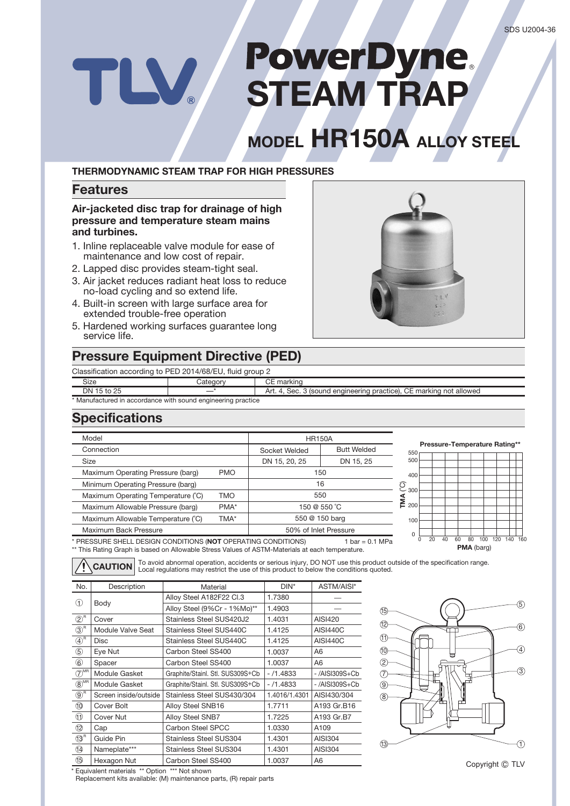# **PowerDyne**<br>STEAM TRAP TLV.

## **MODEL HR150A ALLOY STEEL**

### **THERMODYNAMIC STEAM TRAP FOR HIGH PRESSURES**

### **Features**

**Air-jacketed disc trap for drainage of high pressure and temperature steam mains and turbines.** 

- 1. Inline replaceable valve module for ease of maintenance and low cost of repair.
- 2. Lapped disc provides steam-tight seal.
- 3. Air jacket reduces radiant heat loss to reduce no-load cycling and so extend life.
- 4. Built-in screen with large surface area for extended trouble-free operation
- 5. Hardened working surfaces guarantee long service life.

### **Pressure Equipment Directive (PED)**

Classification according to PED 2014/68/EU, fluid group 2

| Classification according to PED 2014/68/EU, fluid group 2    |          |                                                                     |  |  |  |  |  |
|--------------------------------------------------------------|----------|---------------------------------------------------------------------|--|--|--|--|--|
| Size                                                         | Category | CE marking                                                          |  |  |  |  |  |
| DN 15 to 25                                                  |          | Art. 4, Sec. 3 (sound engineering practice), CE marking not allowed |  |  |  |  |  |
| * Manufactured in accordance with sound engineering practice |          |                                                                     |  |  |  |  |  |

### **Specifications**

| Model                                                                                                                                                                            | <b>HR150A</b> |                       |     |                               |    |    |    |                   |     |    |     |
|----------------------------------------------------------------------------------------------------------------------------------------------------------------------------------|---------------|-----------------------|-----|-------------------------------|----|----|----|-------------------|-----|----|-----|
| Connection                                                                                                                                                                       | Socket Welded | <b>Butt Welded</b>    | 550 | Pressure-Temperature Rating** |    |    |    |                   |     |    |     |
| Size                                                                                                                                                                             | DN 15, 20, 25 | DN 15, 25             | 500 |                               |    |    |    |                   |     |    |     |
| Maximum Operating Pressure (barg)<br><b>PMO</b>                                                                                                                                  |               | 150                   |     | 400                           |    |    |    |                   |     |    |     |
| Minimum Operating Pressure (barg)                                                                                                                                                |               | 16                    |     | $\overline{6}$ 300            |    |    |    |                   |     |    |     |
| Maximum Operating Temperature (°C)<br><b>TMO</b>                                                                                                                                 |               | 550                   |     |                               |    |    |    |                   |     |    |     |
| Maximum Allowable Pressure (barg)<br>PMA*                                                                                                                                        |               | 150 @ 550 °C          |     | ξ<br>200                      |    |    |    |                   |     |    |     |
| Maximum Allowable Temperature (°C)                                                                                                                                               | TMA*          | 550 @ 150 barg        |     | 100                           |    |    |    |                   |     |    |     |
| Maximum Back Pressure                                                                                                                                                            |               | 50% of Inlet Pressure |     | $\Omega$                      |    |    |    |                   |     |    |     |
| PRESSURE SHELL DESIGN CONDITIONS (NOT OPERATING CONDITIONS)<br>$bar = 0.1 MPa$<br>** This Pating Craph is based on Allowable Stress Values of ASTM Materials at each temperature |               |                       |     |                               | 20 | 40 | 60 | <b>PMA</b> (barg) | 100 | 40 | 160 |

\* PRESSURE SHELL DESIGN CONDITIONS (**NOT** OPERATING CONDITIONS) \*\* This Rating Graph is based on Allowable Stress Values of ASTM-Materials at each temperature.

To avoid abnormal operation, accidents or serious injury, DO NOT use this product outside of the specification range. Local regulations may restrict the use of this product to below the conditions quoted. **CAUTION**

| No.                                     | Description           | Material                         | $DIN^*$       | ASTM/AISI*       |  |
|-----------------------------------------|-----------------------|----------------------------------|---------------|------------------|--|
| (1)                                     |                       | Alloy Steel A182F22 Cl.3         | 1.7380        |                  |  |
|                                         | Body                  | Alloy Steel (9%Cr - 1%Mo)**      | 1.4903        |                  |  |
| $\circled{2}^{\mathsf{R}}$              | Cover                 | Stainless Steel SUS420J2         | 1.4031        | <b>AISI420</b>   |  |
| $\circled{3}^{\mathsf{R}}$              | Module Valve Seat     | Stainless Steel SUS440C          | 1.4125        | <b>AISI440C</b>  |  |
| $\bigoplus^R$                           | <b>Disc</b>           | Stainless Steel SUS440C          | 1.4125        | <b>AISI440C</b>  |  |
| $^\circledS$                            | Eye Nut               | Carbon Steel SS400               | 1.0037        | A6               |  |
| $^\circledR$                            | Spacer                | Carbon Steel SS400               | 1.0037        | A6               |  |
| $\overline{(\overline{7})}^{\text{MR}}$ | Module Gasket         | Graphite/Stainl. Stl. SUS309S+Cb | $-71.4833$    | $-$ /AISI309S+Cb |  |
| $\circledR$ <sup>MR</sup>               | Module Gasket         | Graphite/Stainl. Stl. SUS309S+Cb | $-71.4833$    | -/AISI309S+Cb    |  |
| $\circledS^{\text{\tiny R}}$            | Screen inside/outside | Stainless Steel SUS430/304       | 1.4016/1.4301 | AISI430/304      |  |
| 10                                      | Cover Bolt            | Alloy Steel SNB16                | 1.7711        | A193 Gr.B16      |  |
| O                                       | <b>Cover Nut</b>      | Alloy Steel SNB7                 | 1.7225        | A193 Gr.B7       |  |
| 12                                      | Cap                   | Carbon Steel SPCC                | 1.0330        | A109             |  |
| $(13)$ <sup>R</sup>                     | Guide Pin             | <b>Stainless Steel SUS304</b>    | 1.4301        | AISI304          |  |
| ⑭                                       | Nameplate***          | <b>Stainless Steel SUS304</b>    | 1.4301        | AISI304          |  |
| ß)                                      | Hexagon Nut           | Carbon Steel SS400               | 1.0037        | A6               |  |



Copyright C TLV

\* Equivalent materials \*\* Option \*\*\* Not shown

Replacement kits available: (M) maintenance parts, (R) repair parts